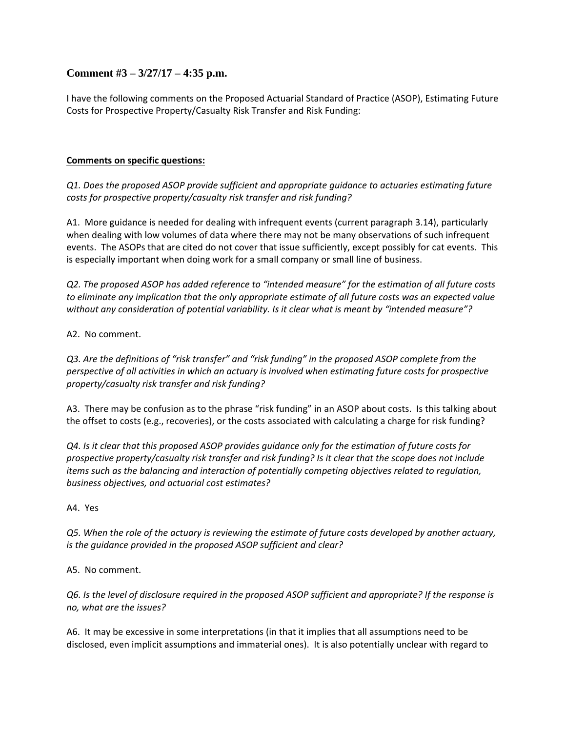# **Comment #3 – 3/27/17 – 4:35 p.m.**

I have the following comments on the Proposed Actuarial Standard of Practice (ASOP), Estimating Future Costs for Prospective Property/Casualty Risk Transfer and Risk Funding:

## **Comments on specific questions:**

*Q1. Does the proposed ASOP provide sufficient and appropriate guidance to actuaries estimating future costs for prospective property/casualty risk transfer and risk funding?*

A1. More guidance is needed for dealing with infrequent events (current paragraph 3.14), particularly when dealing with low volumes of data where there may not be many observations of such infrequent events. The ASOPs that are cited do not cover that issue sufficiently, except possibly for cat events. This is especially important when doing work for a small company or small line of business.

*Q2. The proposed ASOP has added reference to "intended measure" for the estimation of all future costs to eliminate any implication that the only appropriate estimate of all future costs was an expected value without any consideration of potential variability. Is it clear what is meant by "intended measure"?*

#### A2. No comment.

*Q3. Are the definitions of "risk transfer" and "risk funding" in the proposed ASOP complete from the perspective of all activities in which an actuary is involved when estimating future costs for prospective property/casualty risk transfer and risk funding?*

A3. There may be confusion as to the phrase "risk funding" in an ASOP about costs. Is this talking about the offset to costs (e.g., recoveries), or the costs associated with calculating a charge for risk funding?

Q4. Is it clear that this proposed ASOP provides guidance only for the estimation of future costs for *prospective property/casualty risk transfer and risk funding? Is it clear that the scope does not include items such as the balancing and interaction of potentially competing objectives related to regulation, business objectives, and actuarial cost estimates?*

#### A4. Yes

Q5. When the role of the actuary is reviewing the estimate of future costs developed by another actuary, *is the guidance provided in the proposed ASOP sufficient and clear?*

A5. No comment.

Q6. Is the level of disclosure required in the proposed ASOP sufficient and appropriate? If the response is *no, what are the issues?*

A6. It may be excessive in some interpretations (in that it implies that all assumptions need to be disclosed, even implicit assumptions and immaterial ones). It is also potentially unclear with regard to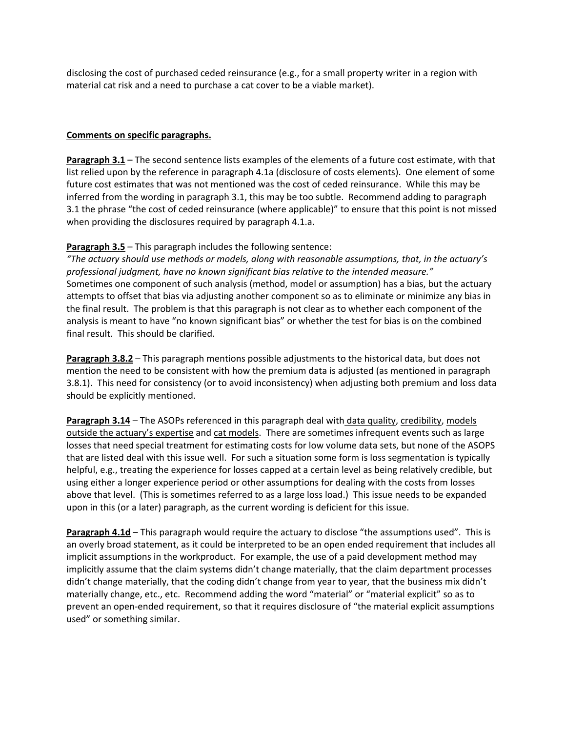disclosing the cost of purchased ceded reinsurance (e.g., for a small property writer in a region with material cat risk and a need to purchase a cat cover to be a viable market).

### **Comments on specific paragraphs.**

**Paragraph 3.1** – The second sentence lists examples of the elements of a future cost estimate, with that list relied upon by the reference in paragraph 4.1a (disclosure of costs elements). One element of some future cost estimates that was not mentioned was the cost of ceded reinsurance. While this may be inferred from the wording in paragraph 3.1, this may be too subtle. Recommend adding to paragraph 3.1 the phrase "the cost of ceded reinsurance (where applicable)" to ensure that this point is not missed when providing the disclosures required by paragraph 4.1.a.

## **Paragraph 3.5** – This paragraph includes the following sentence:

*"The actuary should use methods or models, along with reasonable assumptions, that, in the actuary's professional judgment, have no known significant bias relative to the intended measure."* Sometimes one component of such analysis (method, model or assumption) has a bias, but the actuary attempts to offset that bias via adjusting another component so as to eliminate or minimize any bias in the final result. The problem is that this paragraph is not clear as to whether each component of the analysis is meant to have "no known significant bias" or whether the test for bias is on the combined final result. This should be clarified.

**Paragraph 3.8.2** – This paragraph mentions possible adjustments to the historical data, but does not mention the need to be consistent with how the premium data is adjusted (as mentioned in paragraph 3.8.1). This need for consistency (or to avoid inconsistency) when adjusting both premium and loss data should be explicitly mentioned.

**Paragraph 3.14** – The ASOPs referenced in this paragraph deal with data quality, credibility, models outside the actuary's expertise and cat models. There are sometimes infrequent events such as large losses that need special treatment for estimating costs for low volume data sets, but none of the ASOPS that are listed deal with this issue well. For such a situation some form is loss segmentation is typically helpful, e.g., treating the experience for losses capped at a certain level as being relatively credible, but using either a longer experience period or other assumptions for dealing with the costs from losses above that level. (This is sometimes referred to as a large loss load.) This issue needs to be expanded upon in this (or a later) paragraph, as the current wording is deficient for this issue.

**Paragraph 4.1d** – This paragraph would require the actuary to disclose "the assumptions used". This is an overly broad statement, as it could be interpreted to be an open ended requirement that includes all implicit assumptions in the workproduct. For example, the use of a paid development method may implicitly assume that the claim systems didn't change materially, that the claim department processes didn't change materially, that the coding didn't change from year to year, that the business mix didn't materially change, etc., etc. Recommend adding the word "material" or "material explicit" so as to prevent an open-ended requirement, so that it requires disclosure of "the material explicit assumptions used" or something similar.